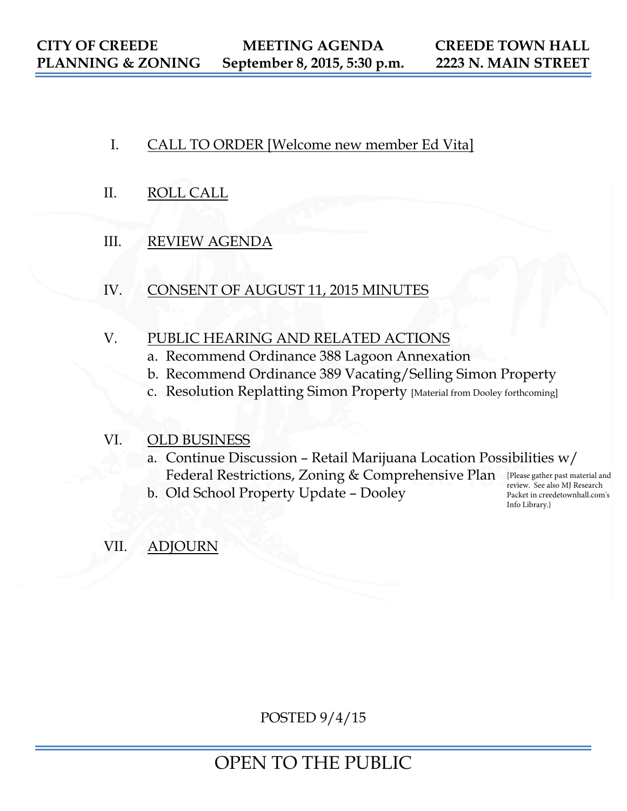- I. CALL TO ORDER [Welcome new member Ed Vita]
- II. ROLL CALL
- III. REVIEW AGENDA
- IV. CONSENT OF AUGUST 11, 2015 MINUTES

## V. PUBLIC HEARING AND RELATED ACTIONS

- a. Recommend Ordinance 388 Lagoon Annexation
- b. Recommend Ordinance 389 Vacating/Selling Simon Property
- c. Resolution Replatting Simon Property [Material from Dooley forthcoming]

## VI. OLD BUSINESS

- a. Continue Discussion Retail Marijuana Location Possibilities w/ Federal Restrictions, Zoning & Comprehensive Plan [Please gather past material and
- b. Old School Property Update Dooley

review. See also MJ Research Packet in creedetownhall.com's Info Library.}

# VII. ADJOURN

POSTED 9/4/15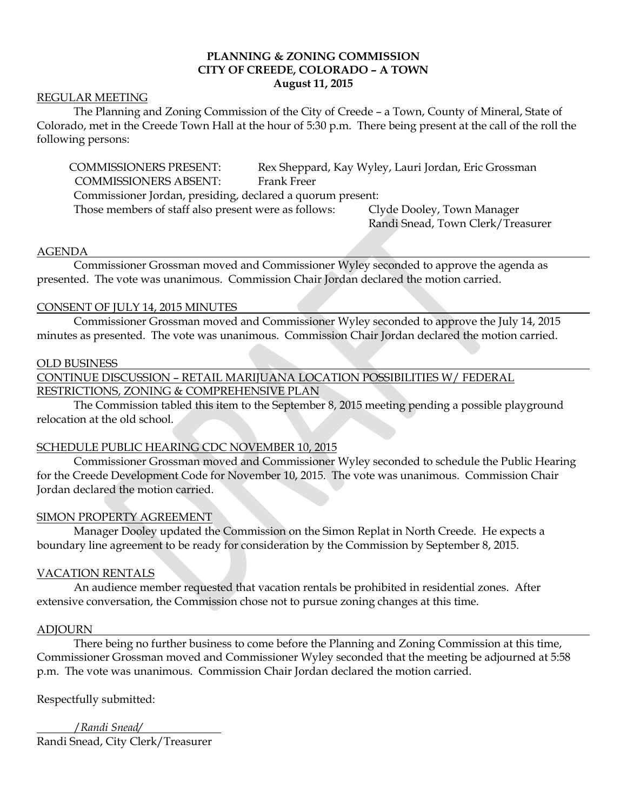## **PLANNING & ZONING COMMISSION CITY OF CREEDE, COLORADO – A TOWN August 11, 2015**

#### REGULAR MEETING

The Planning and Zoning Commission of the City of Creede – a Town, County of Mineral, State of Colorado, met in the Creede Town Hall at the hour of 5:30 p.m. There being present at the call of the roll the following persons:

COMMISSIONERS PRESENT: Rex Sheppard, Kay Wyley, Lauri Jordan, Eric Grossman COMMISSIONERS ABSENT: Frank Freer Commissioner Jordan, presiding, declared a quorum present: Those members of staff also present were as follows: Clyde Dooley, Town Manager

Randi Snead, Town Clerk/Treasurer

#### AGENDA

Commissioner Grossman moved and Commissioner Wyley seconded to approve the agenda as presented. The vote was unanimous. Commission Chair Jordan declared the motion carried.

#### CONSENT OF JULY 14, 2015 MINUTES

Commissioner Grossman moved and Commissioner Wyley seconded to approve the July 14, 2015 minutes as presented. The vote was unanimous. Commission Chair Jordan declared the motion carried.

#### OLD BUSINESS

CONTINUE DISCUSSION – RETAIL MARIJUANA LOCATION POSSIBILITIES W/ FEDERAL

#### RESTRICTIONS, ZONING & COMPREHENSIVE PLAN

The Commission tabled this item to the September 8, 2015 meeting pending a possible playground relocation at the old school.

### SCHEDULE PUBLIC HEARING CDC NOVEMBER 10, 2015

Commissioner Grossman moved and Commissioner Wyley seconded to schedule the Public Hearing for the Creede Development Code for November 10, 2015. The vote was unanimous. Commission Chair Jordan declared the motion carried.

#### SIMON PROPERTY AGREEMENT

Manager Dooley updated the Commission on the Simon Replat in North Creede. He expects a boundary line agreement to be ready for consideration by the Commission by September 8, 2015.

#### VACATION RENTALS

An audience member requested that vacation rentals be prohibited in residential zones. After extensive conversation, the Commission chose not to pursue zoning changes at this time.

#### ADJOURN

There being no further business to come before the Planning and Zoning Commission at this time, Commissioner Grossman moved and Commissioner Wyley seconded that the meeting be adjourned at 5:58 p.m. The vote was unanimous. Commission Chair Jordan declared the motion carried.

Respectfully submitted:

/*Randi Snead/* Randi Snead, City Clerk/Treasurer